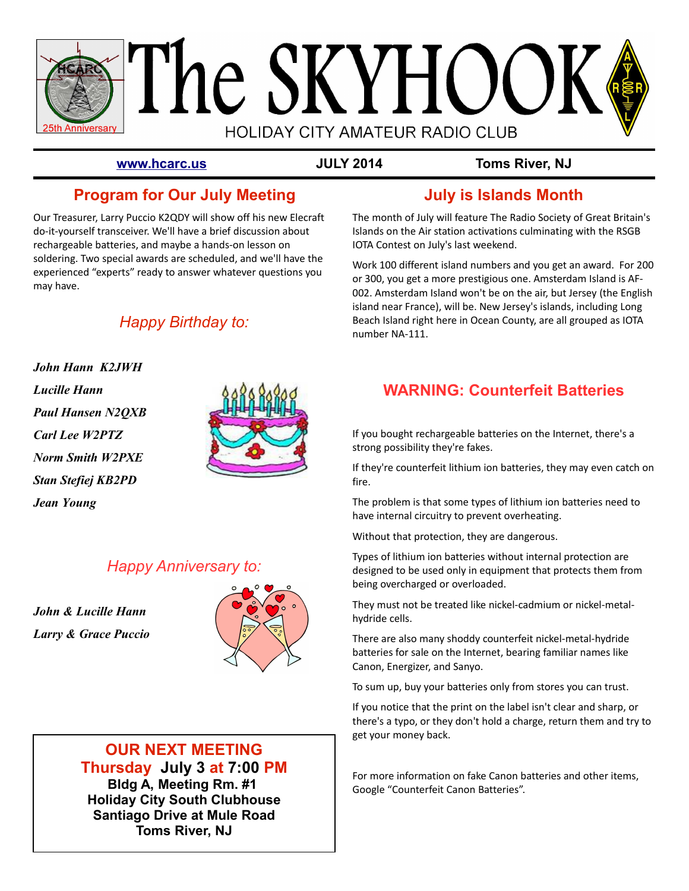

**[www.hcarc.us](http://www.hcarc.us/) JULY 2014 Toms River, NJ**

## **Program for Our July Meeting**

Our Treasurer, Larry Puccio K2QDY will show off his new Elecraft do-it-yourself transceiver. We'll have a brief discussion about rechargeable batteries, and maybe a hands-on lesson on soldering. Two special awards are scheduled, and we'll have the experienced "experts" ready to answer whatever questions you may have.

## *Happy Birthday to:*

**John Hann K2JWH Lucille Hann Paul Hansen N2QXB Carl Lee W2PTZ Norm Smith W2PXE Stan Stefiej KB2PD Jean Young**



## *Happy Anniversary to:*

**John & Lucille Hann Larry & Grace Puccio**



## **OUR NEXT MEETING Thursday July 3 at 7:00 PM**

**Bldg A, Meeting Rm. #1 Holiday City South Clubhouse Santiago Drive at Mule Road Toms River, NJ**

## **July is Islands Month**

The month of July will feature The Radio Society of Great Britain's Islands on the Air station activations culminating with the RSGB IOTA Contest on July's last weekend.

Work 100 different island numbers and you get an award. For 200 or 300, you get a more prestigious one. Amsterdam Island is AF-002. Amsterdam Island won't be on the air, but Jersey (the English island near France), will be. New Jersey's islands, including Long Beach Island right here in Ocean County, are all grouped as IOTA number NA-111.

## **WARNING: Counterfeit Batteries**

If you bought rechargeable batteries on the Internet, there's a strong possibility they're fakes.

If they're counterfeit lithium ion batteries, they may even catch on fire.

The problem is that some types of lithium ion batteries need to have internal circuitry to prevent overheating.

Without that protection, they are dangerous.

Types of lithium ion batteries without internal protection are designed to be used only in equipment that protects them from being overcharged or overloaded.

They must not be treated like nickel-cadmium or nickel-metalhydride cells.

There are also many shoddy counterfeit nickel-metal-hydride batteries for sale on the Internet, bearing familiar names like Canon, Energizer, and Sanyo.

To sum up, buy your batteries only from stores you can trust.

If you notice that the print on the label isn't clear and sharp, or there's a typo, or they don't hold a charge, return them and try to get your money back.

For more information on fake Canon batteries and other items, Google "Counterfeit Canon Batteries".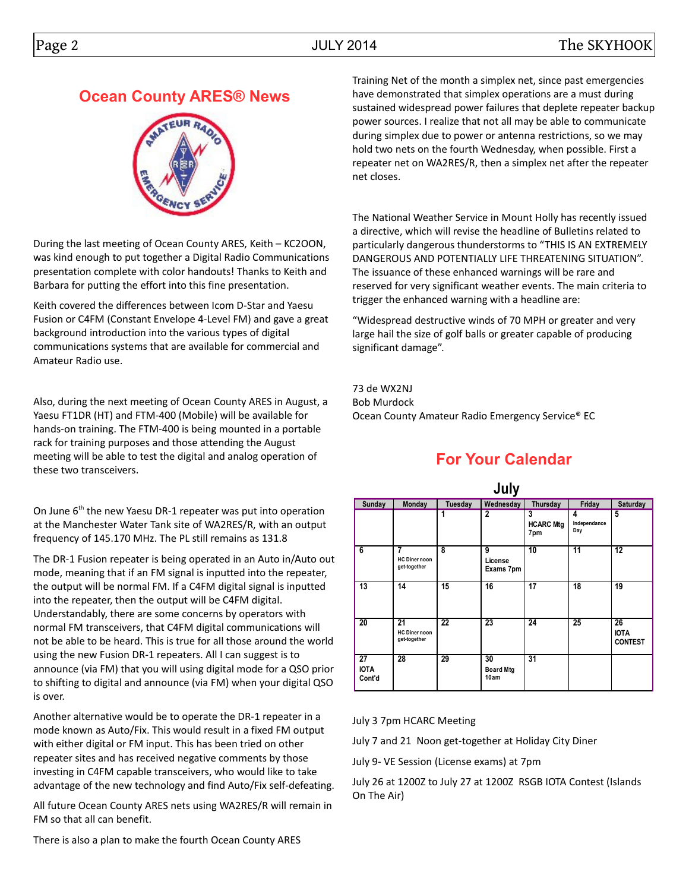## **Ocean County ARES® News**



During the last meeting of Ocean County ARES, Keith – KC2OON, was kind enough to put together a Digital Radio Communications presentation complete with color handouts! Thanks to Keith and Barbara for putting the effort into this fine presentation.

Keith covered the differences between Icom D-Star and Yaesu Fusion or C4FM (Constant Envelope 4-Level FM) and gave a great background introduction into the various types of digital communications systems that are available for commercial and Amateur Radio use.

Also, during the next meeting of Ocean County ARES in August, a Yaesu FT1DR (HT) and FTM-400 (Mobile) will be available for hands-on training. The FTM-400 is being mounted in a portable rack for training purposes and those attending the August meeting will be able to test the digital and analog operation of these two transceivers.

On June  $6<sup>th</sup>$  the new Yaesu DR-1 repeater was put into operation at the Manchester Water Tank site of WA2RES/R, with an output frequency of 145.170 MHz. The PL still remains as 131.8

The DR-1 Fusion repeater is being operated in an Auto in/Auto out mode, meaning that if an FM signal is inputted into the repeater, the output will be normal FM. If a C4FM digital signal is inputted into the repeater, then the output will be C4FM digital. Understandably, there are some concerns by operators with normal FM transceivers, that C4FM digital communications will not be able to be heard. This is true for all those around the world using the new Fusion DR-1 repeaters. All I can suggest is to announce (via FM) that you will using digital mode for a QSO prior to shifting to digital and announce (via FM) when your digital QSO is over.

Another alternative would be to operate the DR-1 repeater in a mode known as Auto/Fix. This would result in a fixed FM output with either digital or FM input. This has been tried on other repeater sites and has received negative comments by those investing in C4FM capable transceivers, who would like to take advantage of the new technology and find Auto/Fix self-defeating.

All future Ocean County ARES nets using WA2RES/R will remain in FM so that all can benefit.

Training Net of the month a simplex net, since past emergencies have demonstrated that simplex operations are a must during sustained widespread power failures that deplete repeater backup power sources. I realize that not all may be able to communicate during simplex due to power or antenna restrictions, so we may hold two nets on the fourth Wednesday, when possible. First a repeater net on WA2RES/R, then a simplex net after the repeater net closes.

The National Weather Service in Mount Holly has recently issued a directive, which will revise the headline of Bulletins related to particularly dangerous thunderstorms to "THIS IS AN EXTREMELY DANGEROUS AND POTENTIALLY LIFE THREATENING SITUATION". The issuance of these enhanced warnings will be rare and reserved for very significant weather events. The main criteria to trigger the enhanced warning with a headline are:

"Widespread destructive winds of 70 MPH or greater and very large hail the size of golf balls or greater capable of producing significant damage".

73 de WX2NJ Bob Murdock Ocean County Amateur Radio Emergency Service® EC

## **For Your Calendar**

| July                        |                                            |         |                                |                              |                          |                                     |  |  |  |  |
|-----------------------------|--------------------------------------------|---------|--------------------------------|------------------------------|--------------------------|-------------------------------------|--|--|--|--|
| Sunday                      | <b>Monday</b>                              | Tuesday | Wednesday                      | Thursday                     | Friday                   | Saturday                            |  |  |  |  |
|                             |                                            | 1       | $\overline{2}$                 | 3<br><b>HCARC Mtg</b><br>7pm | 4<br>Independance<br>Day | 5                                   |  |  |  |  |
| 6                           | 7<br><b>HC Diner noon</b><br>get-together  | 8       | 9<br>License<br>Exams 7pm      | 10                           | $\overline{11}$          | 12                                  |  |  |  |  |
| 13                          | 14                                         | 15      | 16                             | 17                           | 18                       | 19                                  |  |  |  |  |
| 20                          | 21<br><b>HC Diner noon</b><br>get-together | 22      | 23                             | 24                           | 25                       | 26<br><b>IOTA</b><br><b>CONTEST</b> |  |  |  |  |
| 27<br><b>IOTA</b><br>Cont'd | 28                                         | 29      | 30<br><b>Board Mtg</b><br>10am | $\overline{31}$              |                          |                                     |  |  |  |  |

July 3 7pm HCARC Meeting

July 7 and 21 Noon get-together at Holiday City Diner

July 9- VE Session (License exams) at 7pm

July 26 at 1200Z to July 27 at 1200Z RSGB IOTA Contest (Islands On The Air)

There is also a plan to make the fourth Ocean County ARES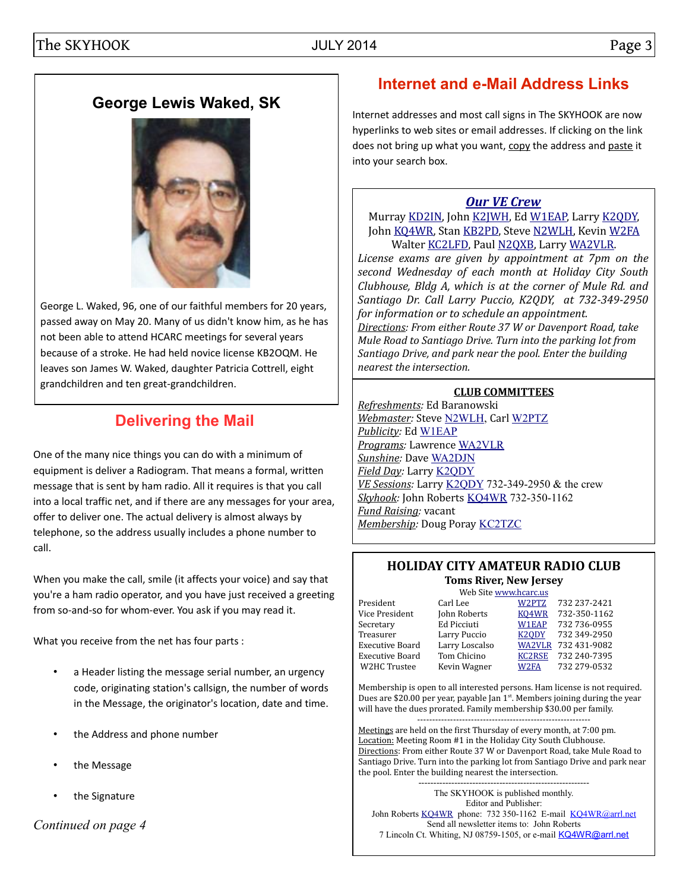## **George Lewis Waked, SK**



George L. Waked, 96, one of our faithful members for 20 years, passed away on May 20. Many of us didn't know him, as he has not been able to attend HCARC meetings for several years because of a stroke. He had held novice license KB2OQM. He leaves son James W. Waked, daughter Patricia Cottrell, eight grandchildren and ten great-grandchildren.

# **Delivering the Mail**

One of the many nice things you can do with a minimum of equipment is deliver a Radiogram. That means a formal, written message that is sent by ham radio. All it requires is that you call into a local traffic net, and if there are any messages for your area, offer to deliver one. The actual delivery is almost always by telephone, so the address usually includes a phone number to call.

When you make the call, smile (it affects your voice) and say that you're a ham radio operator, and you have just received a greeting from so-and-so for whom-ever. You ask if you may read it.

What you receive from the net has four parts :

- a Header listing the message serial number, an urgency code, originating station's callsign, the number of words in the Message, the originator's location, date and time.
- the Address and phone number
- the Message
- the Signature

*Continued on page 4*

# **Internet and e-Mail Address Links**

Internet addresses and most call signs in The SKYHOOK are now hyperlinks to web sites or email addresses. If clicking on the link does not bring up what you want, copy the address and paste it into your search box.

## *[Our VE Crew](mailto:lpuccio1@comcast.net?subject=VE)*

Murray [KD2IN,](mailto:MurrayKD2IN@comcast.net) John [K2JWH,](mailto:johnhinbarnegat@gmail.com) Ed [W1EAP,](mailto:epicciuti@hotmail.com) Larry [K2QDY,](mailto:lpuccio1@comcast.net) John [KQ4WR,](mailto:kq4wr@arrl.net) Stan [KB2PD,](mailto:kb2pd@arrl.net) Steve [N2WLH,](mailto:n2wlh@arrl.net) Kevin [W2FA](mailto:w2fa.kgw@gmail.com) Walter [KC2LFD,](mailto:wkorch@yahoo.com) Paul [N2QXB,](mailto:N2QXB@hotmail.com) Larry [WA2VLR.](mailto:lloscalz@optonline.net) *License exams are given by appointment at 7pm on the second Wednesday of each month at Holiday City South Clubhouse, Bldg A, which is at the corner of Mule Rd. and Santiago Dr. Call Larry Puccio, K2QDY, at 732-349-2950 for information or to schedule an appointment. Directions: From either Route 37 W or Davenport Road, take* 

*Mule Road to Santiago Drive. Turn into the parking lot from Santiago Drive, and park near the pool. Enter the building nearest the intersection.*

## **CLUB COMMITTEES**

*Refreshments:* Ed Baranowski *Webmaster:* Steve [N2WLH,](mailto:n2wlh@arrl.net) Carl [W2PTZ](mailto:w2ptz@arrl.net) *Publicity:* Ed [W1EAP](mailto:epicciuti@hotmail.com) *Programs:* Lawrence [WA2VLR](mailto:lloscalz@optimum.net) *Sunshine:* Dave [WA2DJN](mailto:wa2djn3@verizon.net) *Field Day:* Larry [K2QDY](mailto:lpuccio1@comcast.net) *VE Sessions:* Larry [K2QDY](mailto:lpuccio1@comcast.net) 732-349-2950 & the crew *Skyhook:* John Roberts [KQ4WR](mailto:kq4wr@arrl.net) 732-350-1162 *Fund Raising:* vacant *Membership:* Doug Poray [KC2TZC](mailto:dporay@optonline.net)

## **HOLIDAY CITY AMATEUR RADIO CLUB Toms River, New Jersey**

Web Site [www.hcarc.us](http://www.hcarc.us/) President Carl Lee [W2PTZ](mailto:w2ptz@arrl.net) 732 237-2421 Vice President John Roberts [KQ4WR](mailto:kq4wr@arrl.net) 732-350-1162 Secretary Ed Picciuti [W1EAP](mailto:epicciuti@hotmail.com) 732 736-0955 Treasurer Larry Puccio [K2QDY](mailto:lpuccio1@comcast.net) 732 349-2950 Executive Board Larry Loscalso [WA2VLR](mailto:lloscalz@optonline.net) 732 431-9082 Executive Board Tom Chicino [KC2RSE](mailto:thomaschicano@verizon.net) 732 240-7395 W2HC Trustee Kevin Wagner [W2FA](mailto:w2fa.kgw@gmail.com) 732 279-0532

Membership is open to all interested persons. Ham license is not required. Dues are \$20.00 per year, payable Jan  $1<sup>st</sup>$ . Members joining during the year will have the dues prorated. Family membership \$30.00 per family. ----------------------------------------------------------

Meetings are held on the first Thursday of every month, at 7:00 pm. Location: Meeting Room #1 in the Holiday City South Clubhouse. Directions: From either Route 37 W or Davenport Road, take Mule Road to Santiago Drive. Turn into the parking lot from Santiago Drive and park near the pool. Enter the building nearest the intersection. ---------------------------------------------------------

The SKYHOOK is published monthly. Editor and Publisher: John Roberts [KQ4WR](mailto:kq4wr@arrl.net) phone: 732 350-1162 E-mail [KQ4WR@arrl.net](mailto:KQ4WR@arrl.net) Send all newsletter items to: John Roberts 7 Lincoln Ct. Whiting, NJ 08759-1505, or e-mail [KQ4WR@arrl.net](mailto:KQ4WR@arrl.net)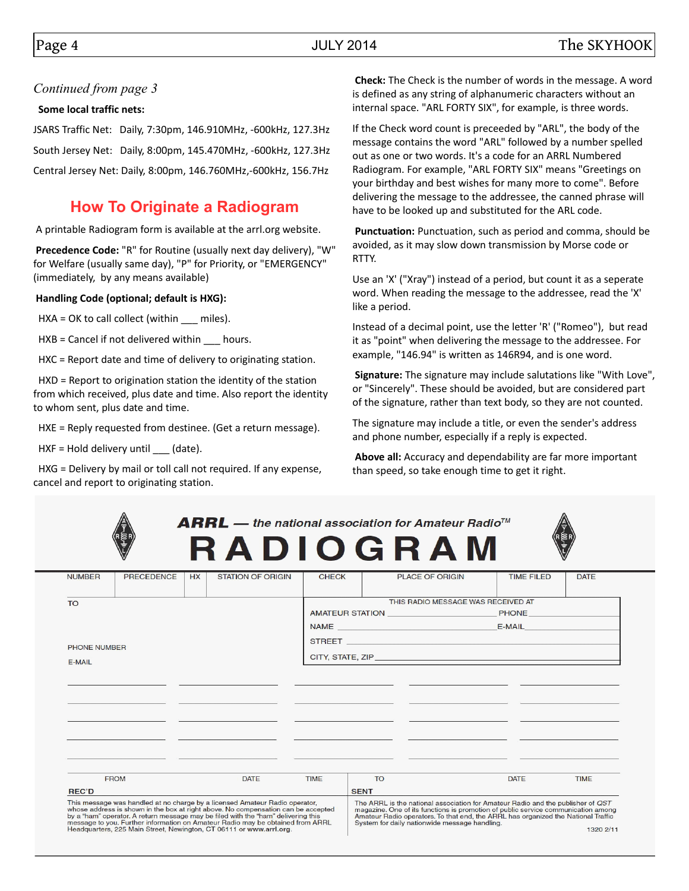### *Continued from page 3*

### **Some local traffic nets:**

JSARS Traffic Net: Daily, 7:30pm, 146.910MHz, -600kHz, 127.3Hz South Jersey Net: Daily, 8:00pm, 145.470MHz, -600kHz, 127.3Hz Central Jersey Net: Daily, 8:00pm, 146.760MHz,-600kHz, 156.7Hz

## **How To Originate a Radiogram**

A printable Radiogram form is available at the arrl.org website.

 **Precedence Code:** "R" for Routine (usually next day delivery), "W" for Welfare (usually same day), "P" for Priority, or "EMERGENCY" (immediately, by any means available)

### **Handling Code (optional; default is HXG):**

HXA = OK to call collect (within \_\_\_ miles).

HXB = Cancel if not delivered within \_\_\_ hours.

HXC = Report date and time of delivery to originating station.

 HXD = Report to origination station the identity of the station from which received, plus date and time. Also report the identity to whom sent, plus date and time.

HXE = Reply requested from destinee. (Get a return message).

HXF = Hold delivery until \_\_\_ (date).

 HXG = Delivery by mail or toll call not required. If any expense, cancel and report to originating station.

 **Check:** The Check is the number of words in the message. A word is defined as any string of alphanumeric characters without an internal space. "ARL FORTY SIX", for example, is three words.

If the Check word count is preceeded by "ARL", the body of the message contains the word "ARL" followed by a number spelled out as one or two words. It's a code for an ARRL Numbered Radiogram. For example, "ARL FORTY SIX" means "Greetings on your birthday and best wishes for many more to come". Before delivering the message to the addressee, the canned phrase will have to be looked up and substituted for the ARL code.

 **Punctuation:** Punctuation, such as period and comma, should be avoided, as it may slow down transmission by Morse code or RTTY.

Use an 'X' ("Xray") instead of a period, but count it as a seperate word. When reading the message to the addressee, read the 'X' like a period.

Instead of a decimal point, use the letter 'R' ("Romeo"), but read it as "point" when delivering the message to the addressee. For example, "146.94" is written as 146R94, and is one word.

 **Signature:** The signature may include salutations like "With Love", or "Sincerely". These should be avoided, but are considered part of the signature, rather than text body, so they are not counted.

The signature may include a title, or even the sender's address and phone number, especially if a reply is expected.

**Above all:** Accuracy and dependability are far more important than speed, so take enough time to get it right.

| $\mathbf{ARRL}$ — the national association for Amateur Radio <sup>rm</sup>                                                                                                                                                                                                                                                              |              | <b>RADIOGRAM</b>                                                                                                                                                                                                                                                                                           |                   |             |  |  |  |  |
|-----------------------------------------------------------------------------------------------------------------------------------------------------------------------------------------------------------------------------------------------------------------------------------------------------------------------------------------|--------------|------------------------------------------------------------------------------------------------------------------------------------------------------------------------------------------------------------------------------------------------------------------------------------------------------------|-------------------|-------------|--|--|--|--|
| <b>NUMBER</b><br>PRECEDENCE<br><b>STATION OF ORIGIN</b><br>HX                                                                                                                                                                                                                                                                           | <b>CHECK</b> | <b>PLACE OF ORIGIN</b>                                                                                                                                                                                                                                                                                     | <b>TIME FILED</b> | <b>DATE</b> |  |  |  |  |
| <b>TO</b>                                                                                                                                                                                                                                                                                                                               |              | THIS RADIO MESSAGE WAS RECEIVED AT                                                                                                                                                                                                                                                                         |                   |             |  |  |  |  |
|                                                                                                                                                                                                                                                                                                                                         |              |                                                                                                                                                                                                                                                                                                            |                   |             |  |  |  |  |
|                                                                                                                                                                                                                                                                                                                                         |              |                                                                                                                                                                                                                                                                                                            |                   |             |  |  |  |  |
|                                                                                                                                                                                                                                                                                                                                         |              |                                                                                                                                                                                                                                                                                                            |                   |             |  |  |  |  |
| PHONE NUMBER                                                                                                                                                                                                                                                                                                                            |              |                                                                                                                                                                                                                                                                                                            |                   |             |  |  |  |  |
| E-MAIL                                                                                                                                                                                                                                                                                                                                  |              |                                                                                                                                                                                                                                                                                                            |                   |             |  |  |  |  |
|                                                                                                                                                                                                                                                                                                                                         |              |                                                                                                                                                                                                                                                                                                            |                   |             |  |  |  |  |
|                                                                                                                                                                                                                                                                                                                                         |              |                                                                                                                                                                                                                                                                                                            |                   |             |  |  |  |  |
|                                                                                                                                                                                                                                                                                                                                         |              |                                                                                                                                                                                                                                                                                                            |                   |             |  |  |  |  |
| ___                                                                                                                                                                                                                                                                                                                                     |              |                                                                                                                                                                                                                                                                                                            |                   |             |  |  |  |  |
|                                                                                                                                                                                                                                                                                                                                         |              |                                                                                                                                                                                                                                                                                                            |                   |             |  |  |  |  |
|                                                                                                                                                                                                                                                                                                                                         |              |                                                                                                                                                                                                                                                                                                            |                   |             |  |  |  |  |
|                                                                                                                                                                                                                                                                                                                                         |              |                                                                                                                                                                                                                                                                                                            |                   |             |  |  |  |  |
| <b>FROM</b><br><b>DATE</b>                                                                                                                                                                                                                                                                                                              | <b>TIME</b>  | <b>TO</b>                                                                                                                                                                                                                                                                                                  | <b>DATE</b>       | <b>TIME</b> |  |  |  |  |
| <b>REC'D</b>                                                                                                                                                                                                                                                                                                                            |              | <b>SENT</b>                                                                                                                                                                                                                                                                                                |                   |             |  |  |  |  |
| This message was handled at no charge by a licensed Amateur Radio operator.<br>whose address is shown in the box at right above. No compensation can be accepted<br>by a "ham" operator. A return message may be filed with the "ham" delivering this<br>message to you. Further information on Amateur Radio may be obtained from ARRL |              | The ARRL is the national association for Amateur Radio and the publisher of QST<br>magazine. One of its functions is promotion of public service communication among<br>Amateur Radio operators. To that end, the ARRL has organized the National Traffic<br>System for daily nationwide message handling. |                   |             |  |  |  |  |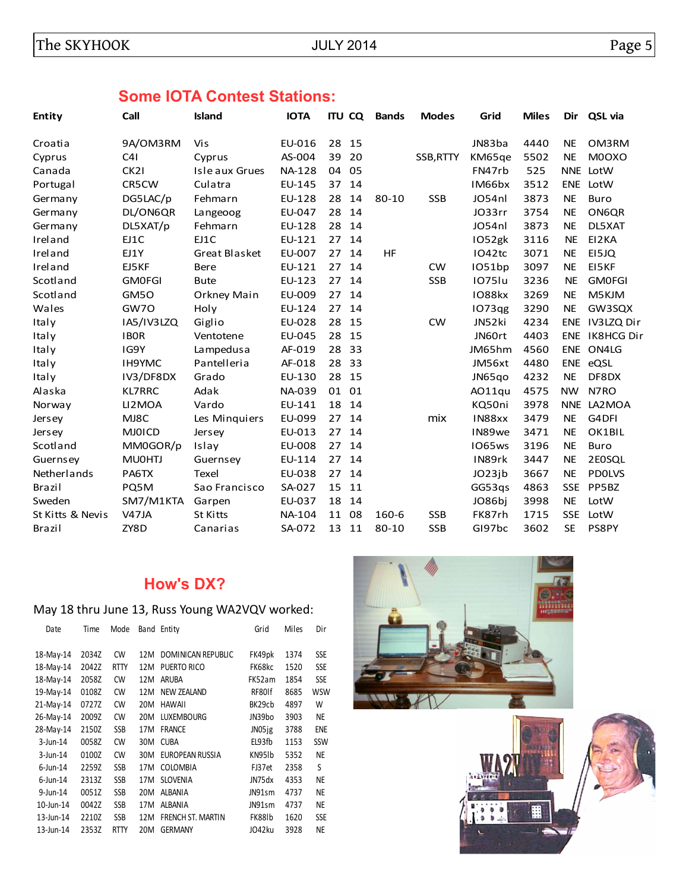# **Some IOTA Contest Stations:**

| <b>Entity</b>    | Call             | Island          | <b>IOTA</b>   |    | <b>ITU CQ</b> | <b>Bands</b> | <b>Modes</b> | Grid          | <b>Miles</b> | Dir        | QSL via               |
|------------------|------------------|-----------------|---------------|----|---------------|--------------|--------------|---------------|--------------|------------|-----------------------|
| Croatia          | 9A/OM3RM         | Vis             | EU-016        | 28 | 15            |              |              | JN83ba        | 4440         | <b>NE</b>  | OM3RM                 |
| Cyprus           | C41              | Cyprus          | AS-004        | 39 | 20            |              | SSB, RTTY    | KM65ge        | 5502         | <b>NE</b>  | M0OXO                 |
| Canada           | CK <sub>21</sub> | Isle aux Grues  | <b>NA-128</b> | 04 | 05            |              |              | FN47rb        | 525          |            | NNE LotW              |
| Portugal         | CR5CW            | Culatra         | EU-145        | 37 | 14            |              |              | IM66bx        | 3512         | <b>ENE</b> | LotW                  |
| Germany          | DG5LAC/p         | Fehmarn         | EU-128        | 28 | 14            | $80 - 10$    | <b>SSB</b>   | JO54nl        | 3873         | <b>NE</b>  | Buro                  |
| Germany          | DL/ON6QR         | Langeoog        | EU-047        | 28 | 14            |              |              | JO33rr        | 3754         | <b>NE</b>  | ON6QR                 |
| Germany          | DL5XAT/p         | Fehmarn         | EU-128        | 28 | 14            |              |              | JO54nl        | 3873         | <b>NE</b>  | DL5XAT                |
| Ireland          | EJ1C             | EJ1C            | EU-121        | 27 | 14            |              |              | IO52gk        | 3116         | <b>NE</b>  | EI2KA                 |
| Ireland          | EJ1Y             | Great Blasket   | EU-007        | 27 | 14            | HF           |              | IO42tc        | 3071         | <b>NE</b>  | EI5JQ                 |
| Ireland          | EJ5KF            | Bere            | EU-121        | 27 | 14            |              | <b>CW</b>    | IO51bp        | 3097         | <b>NE</b>  | EI5KF                 |
| Scotland         | <b>GMOFGI</b>    | <b>Bute</b>     | EU-123        | 27 | 14            |              | <b>SSB</b>   | <b>1075lu</b> | 3236         | <b>NE</b>  | <b>GMOFGI</b>         |
| Scotland         | GM50             | Orkney Main     | EU-009        | 27 | 14            |              |              | IO88kx        | 3269         | <b>NE</b>  | M5KJM                 |
| Wales            | GW7O             | Holy            | EU-124        | 27 | 14            |              |              | IO73qg        | 3290         | <b>NE</b>  | GW3SQX                |
| Italy            | IA5/IV3LZQ       | Giglio          | EU-028        | 28 | 15            |              | <b>CW</b>    | JN52ki        | 4234         | <b>ENE</b> | IV3LZQ Dir            |
| Italy            | <b>IBOR</b>      | Ventotene       | EU-045        | 28 | 15            |              |              | JN60rt        | 4403         |            | <b>ENE IK8HCG Dir</b> |
| Italy            | IG9Y             | Lampedusa       | AF-019        | 28 | 33            |              |              | JM65hm        | 4560         | ENE        | ON4LG                 |
| Italy            | <b>IH9YMC</b>    | Pantelleria     | AF-018        | 28 | 33            |              |              | JM56xt        | 4480         |            | ENE eQSL              |
| Italy            | IV3/DF8DX        | Grado           | EU-130        | 28 | 15            |              |              | JN65qo        | 4232         | <b>NE</b>  | DF8DX                 |
| Alaska           | <b>KL7RRC</b>    | Adak            | NA-039        | 01 | 01            |              |              | AO11qu        | 4575         | <b>NW</b>  | N7RO                  |
| Norway           | LI2MOA           | Vardo           | EU-141        | 18 | 14            |              |              | KQ50ni        | 3978         |            | NNE LA2MOA            |
| <b>Jersey</b>    | MJ8C             | Les Minguiers   | EU-099        | 27 | 14            |              | mix          | IN88xx        | 3479         | <b>NE</b>  | G4DFI                 |
| <b>Jersey</b>    | <b>MJOICD</b>    | Jersey          | EU-013        | 27 | 14            |              |              | IN89we        | 3471         | <b>NE</b>  | OK1BIL                |
| Scotland         | MM0GOR/p         | Islay           | EU-008        | 27 | 14            |              |              | <b>IO65ws</b> | 3196         | <b>NE</b>  | <b>Buro</b>           |
| Guernsey         | <b>MU0HTJ</b>    | Guernsey        | EU-114        | 27 | 14            |              |              | IN89rk        | 3447         | <b>NE</b>  | 2E0SQL                |
| Netherlands      | PA6TX            | Texel           | EU-038        | 27 | 14            |              |              | JO23jb        | 3667         | <b>NE</b>  | <b>PDOLVS</b>         |
| Brazil           | PQ5M             | Sao Francisco   | SA-027        | 15 | 11            |              |              | GG53gs        | 4863         | <b>SSE</b> | PP5BZ                 |
| Sweden           | SM7/M1KTA        | Garpen          | EU-037        | 18 | 14            |              |              | JO86bi        | 3998         | <b>NE</b>  | LotW                  |
| St Kitts & Nevis | V47JA            | <b>St Kitts</b> | NA-104        | 11 | 08            | 160-6        | <b>SSB</b>   | FK87rh        | 1715         | <b>SSE</b> | LotW                  |
| Brazil           | ZY8D             | Canarias        | SA-072        | 13 | 11            | 80-10        | <b>SSB</b>   | GI97bc        | 3602         | <b>SE</b>  | PS8PY                 |

## **How's DX?**

## May 18 thru June 13, Russ Young WA2VQV worked:

| Date         | Time  | Mode        |     | Band Entity              | Grid   | Miles | Dir        |
|--------------|-------|-------------|-----|--------------------------|--------|-------|------------|
| 18-May-14    | 2034Z | CW          | 12M | DOMINICAN REPUBLIC       | FK49pk | 1374  | <b>SSE</b> |
| 18-May-14    | 2042Z | <b>RTTY</b> | 12M | PUERTO RICO              | FK68kc | 1520  | <b>SSE</b> |
| 18-May-14    | 2058Z | <b>CW</b>   | 12M | ARUBA                    | FK52am | 1854  | <b>SSE</b> |
| 19-May-14    | 0108Z | <b>CW</b>   | 12M | <b>NEW ZEALAND</b>       | RF80lf | 8685  | <b>WSW</b> |
| $21$ -May-14 | 0727Z | CW          | 20M | <b>HAWAII</b>            | BK29cb | 4897  | W          |
| 26-May-14    | 2009Z | CW          | 20M | <b>LUXEMBOURG</b>        | JN39bo | 3903  | <b>NE</b>  |
| 28-May-14    | 2150Z | <b>SSB</b>  | 17M | <b>FRANCE</b>            | JN05jg | 3788  | <b>ENE</b> |
| $3$ -Jun-14  | 0058Z | CW          | 30M | <b>CUBA</b>              | EL93fb | 1153  | SSW        |
| $3$ -Jun-14  | 0100Z | CW          | 30M | EUROPEAN RUSSIA          | KN951b | 5352  | NE         |
| $6$ -Jun-14  | 2259Z | <b>SSB</b>  | 17M | <b>COLOMBIA</b>          | FJ37et | 2358  | S          |
| $6$ -Jun-14  | 2313Z | <b>SSB</b>  | 17M | <b>SLOVENIA</b>          | JN75dx | 4353  | NE         |
| 9-Jun-14     | 0051Z | SSB         | 20M | <b>ALBANIA</b>           | JN91sm | 4737  | NE         |
| 10-Jun-14    | 0042Z | SSB         | 17M | <b>ALBANIA</b>           | JN91sm | 4737  | NE         |
| 13-Jun-14    | 2210Z | <b>SSB</b>  | 12M | <b>FRENCH ST. MARTIN</b> | FK88lb | 1620  | <b>SSE</b> |
| 13-Jun-14    | 2353Z | <b>RTTY</b> | 20M | <b>GERMANY</b>           | JO42ku | 3928  | NE         |